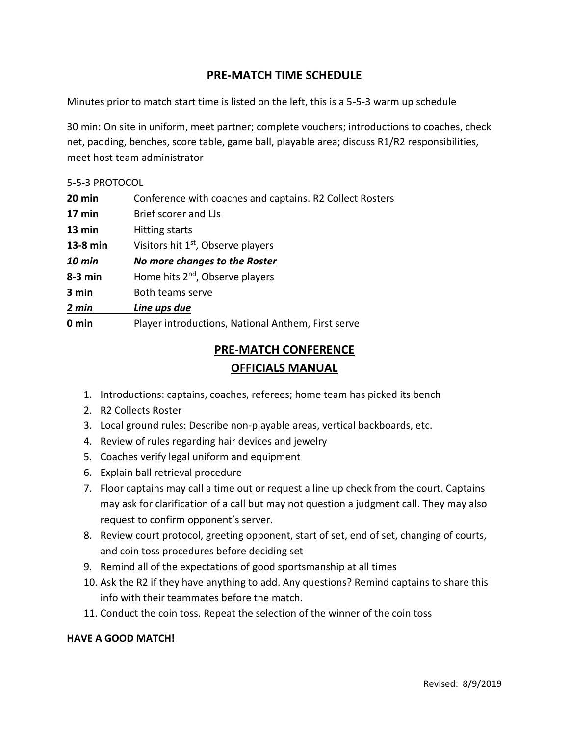## **PRE-MATCH TIME SCHEDULE**

Minutes prior to match start time is listed on the left, this is a 5-5-3 warm up schedule

30 min: On site in uniform, meet partner; complete vouchers; introductions to coaches, check net, padding, benches, score table, game ball, playable area; discuss R1/R2 responsibilities, meet host team administrator

#### 5-5-3 PROTOCOL

| 20 min        | Conference with coaches and captains. R2 Collect Rosters |
|---------------|----------------------------------------------------------|
| 17 min        | <b>Brief scorer and LJs</b>                              |
| 13 min        | <b>Hitting starts</b>                                    |
| 13-8 min      | Visitors hit 1 <sup>st</sup> , Observe players           |
| <b>10 min</b> | No more changes to the Roster                            |
| $8-3$ min     | Home hits 2 <sup>nd</sup> , Observe players              |
| 3 min         | Both teams serve                                         |
| 2 min         | Line ups due                                             |
| 0 min         | Player introductions, National Anthem, First serve       |
|               |                                                          |

# **PRE-MATCH CONFERENCE**

## **OFFICIALS MANUAL**

- 1. Introductions: captains, coaches, referees; home team has picked its bench
- 2. R2 Collects Roster
- 3. Local ground rules: Describe non-playable areas, vertical backboards, etc.
- 4. Review of rules regarding hair devices and jewelry
- 5. Coaches verify legal uniform and equipment
- 6. Explain ball retrieval procedure
- 7. Floor captains may call a time out or request a line up check from the court. Captains may ask for clarification of a call but may not question a judgment call. They may also request to confirm opponent's server.
- 8. Review court protocol, greeting opponent, start of set, end of set, changing of courts, and coin toss procedures before deciding set
- 9. Remind all of the expectations of good sportsmanship at all times
- 10. Ask the R2 if they have anything to add. Any questions? Remind captains to share this info with their teammates before the match.
- 11. Conduct the coin toss. Repeat the selection of the winner of the coin toss

### **HAVE A GOOD MATCH!**